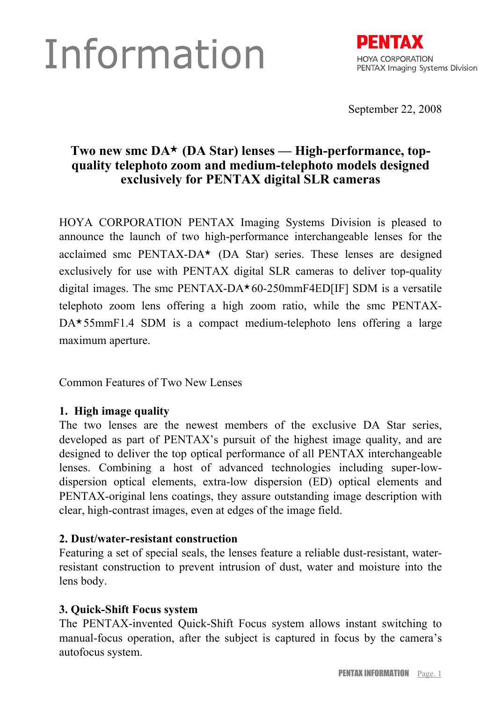# Information



September 22, 2008

## **Two new smc DA**★ **(DA Star) lenses — High-performance, topquality telephoto zoom and medium-telephoto models designed exclusively for PENTAX digital SLR cameras**

HOYA CORPORATION PENTAX Imaging Systems Division is pleased to announce the launch of two high-performance interchangeable lenses for the acclaimed smc PENTAX-DA★ (DA Star) series. These lenses are designed exclusively for use with PENTAX digital SLR cameras to deliver top-quality digital images. The smc PENTAX-DA $\star$ 60-250mmF4ED[IF] SDM is a versatile telephoto zoom lens offering a high zoom ratio, while the smc PENTAX-DA★ 55mmF1.4 SDM is a compact medium-telephoto lens offering a large maximum aperture.

Common Features of Two New Lenses

#### **1. High image quality**

The two lenses are the newest members of the exclusive DA Star series, developed as part of PENTAX's pursuit of the highest image quality, and are designed to deliver the top optical performance of all PENTAX interchangeable lenses. Combining a host of advanced technologies including super-lowdispersion optical elements, extra-low dispersion (ED) optical elements and PENTAX-original lens coatings, they assure outstanding image description with clear, high-contrast images, even at edges of the image field.

#### **2. Dust/water-resistant construction**

Featuring a set of special seals, the lenses feature a reliable dust-resistant, waterresistant construction to prevent intrusion of dust, water and moisture into the lens body.

#### **3. Quick-Shift Focus system**

The PENTAX-invented Quick-Shift Focus system allows instant switching to manual-focus operation, after the subject is captured in focus by the camera's autofocus system.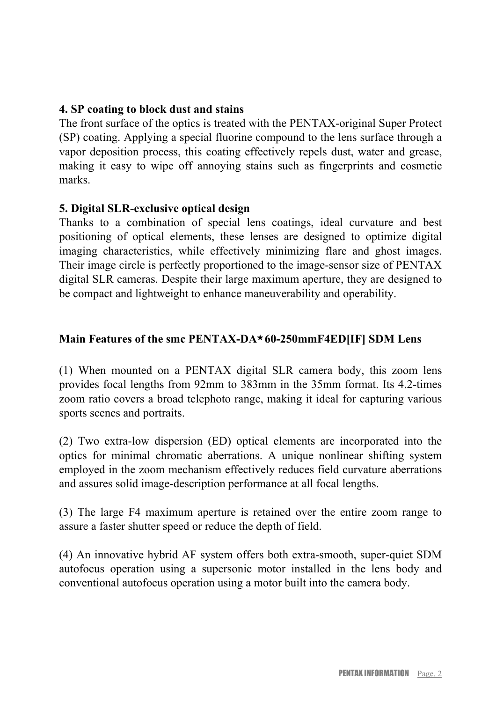#### **4. SP coating to block dust and stains**

The front surface of the optics is treated with the PENTAX-original Super Protect (SP) coating. Applying a special fluorine compound to the lens surface through a vapor deposition process, this coating effectively repels dust, water and grease, making it easy to wipe off annoying stains such as fingerprints and cosmetic marks.

#### **5. Digital SLR-exclusive optical design**

Thanks to a combination of special lens coatings, ideal curvature and best positioning of optical elements, these lenses are designed to optimize digital imaging characteristics, while effectively minimizing flare and ghost images. Their image circle is perfectly proportioned to the image-sensor size of PENTAX digital SLR cameras. Despite their large maximum aperture, they are designed to be compact and lightweight to enhance maneuverability and operability.

#### **Main Features of the smc PENTAX-DA**★ **60-250mmF4ED[IF] SDM Lens**

(1) When mounted on a PENTAX digital SLR camera body, this zoom lens provides focal lengths from 92mm to 383mm in the 35mm format. Its 4.2-times zoom ratio covers a broad telephoto range, making it ideal for capturing various sports scenes and portraits.

(2) Two extra-low dispersion (ED) optical elements are incorporated into the optics for minimal chromatic aberrations. A unique nonlinear shifting system employed in the zoom mechanism effectively reduces field curvature aberrations and assures solid image-description performance at all focal lengths.

(3) The large F4 maximum aperture is retained over the entire zoom range to assure a faster shutter speed or reduce the depth of field.

(4) An innovative hybrid AF system offers both extra-smooth, super-quiet SDM autofocus operation using a supersonic motor installed in the lens body and conventional autofocus operation using a motor built into the camera body.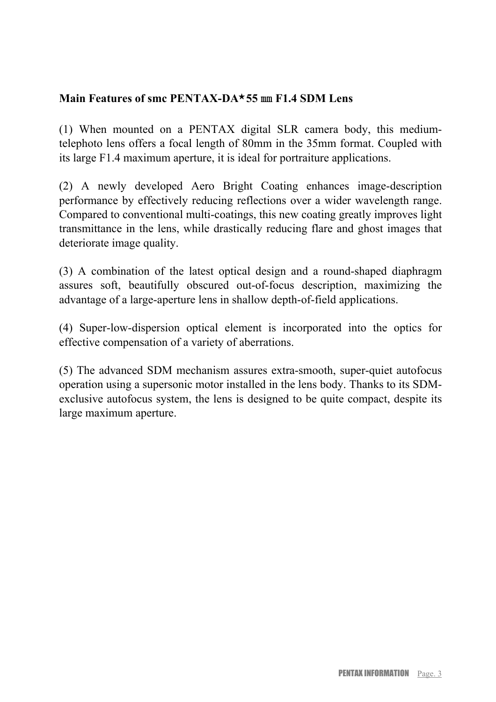### **Main Features of smc PENTAX-DA**★ **55** ㎜ **F1.4 SDM Lens**

(1) When mounted on a PENTAX digital SLR camera body, this mediumtelephoto lens offers a focal length of 80mm in the 35mm format. Coupled with its large F1.4 maximum aperture, it is ideal for portraiture applications.

(2) A newly developed Aero Bright Coating enhances image-description performance by effectively reducing reflections over a wider wavelength range. Compared to conventional multi-coatings, this new coating greatly improves light transmittance in the lens, while drastically reducing flare and ghost images that deteriorate image quality.

(3) A combination of the latest optical design and a round-shaped diaphragm assures soft, beautifully obscured out-of-focus description, maximizing the advantage of a large-aperture lens in shallow depth-of-field applications.

(4) Super-low-dispersion optical element is incorporated into the optics for effective compensation of a variety of aberrations.

(5) The advanced SDM mechanism assures extra-smooth, super-quiet autofocus operation using a supersonic motor installed in the lens body. Thanks to its SDMexclusive autofocus system, the lens is designed to be quite compact, despite its large maximum aperture.